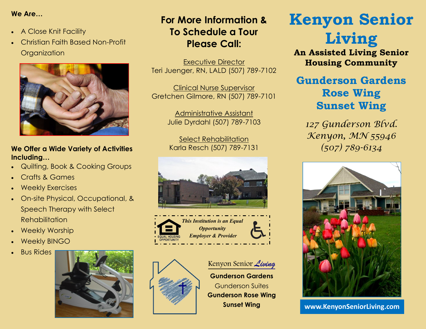## **We Are…**

- A Close Knit Facility
- Christian Faith Based Non-Profit **Organization**



## **We Offer a Wide Variety of Activities Including…**

- Quilting, Book & Cooking Groups
- Crafts & Games
- Weekly Exercises
- On-site Physical, Occupational, & Speech Therapy with Select **Rehabilitation**
- Weekly Worship
- Weekly BINGO
- Bus Rides



## **For More Information & To Schedule a Tour Please Call:**

Executive Director Teri Juenger, RN, LALD (507) 789-7102

Clinical Nurse Supervisor Gretchen Gilmore, RN (507) 789-7101

> Administrative Assistant Julie Dyrdahl (507) 789-7103

Select Rehabilitation Karla Resch (507) 789-7131





Kenyon Senior *Living*  **Gunderson Gardens**  Gunderson Suites **Gunderson Rose Wing Sunset Wing**

# **Kenyon Senior Living**

**An Assisted Living Senior Housing Community**

## **Gunderson Gardens Rose Wing Sunset Wing**

*127 Gunderson Blvd. Kenyon, MN 55946 (507) 789-6134*



**www.KenyonSeniorLiving.com**